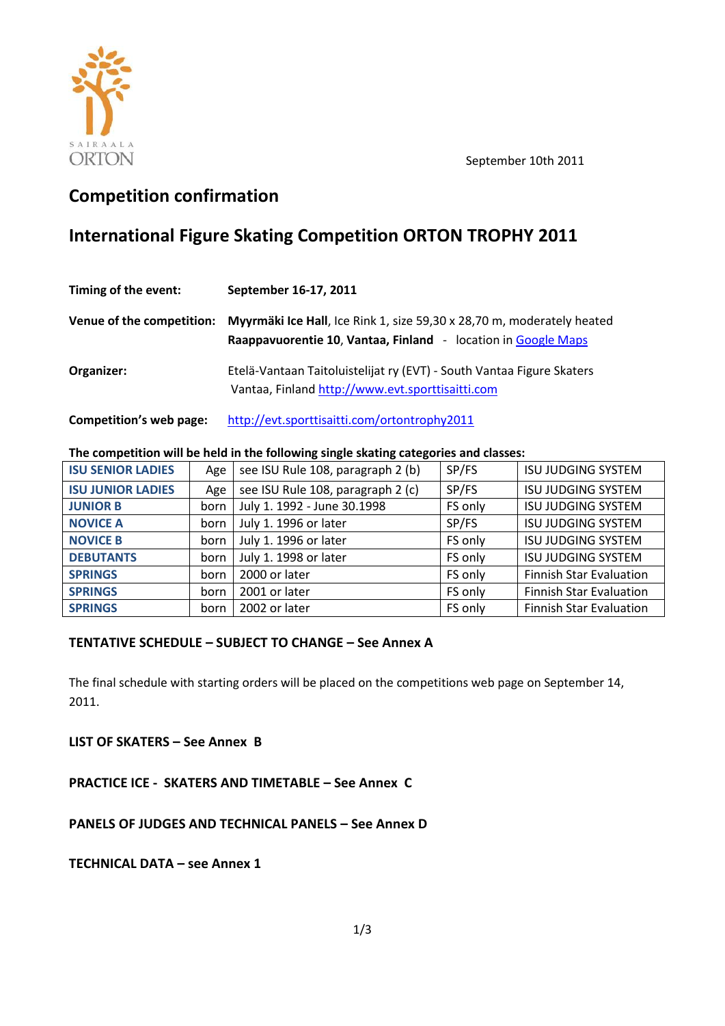



# **Competition confirmation**

# **International Figure Skating Competition ORTON TROPHY 2011**

| Timing of the event:      | September 16-17, 2011                                                                                                                   |
|---------------------------|-----------------------------------------------------------------------------------------------------------------------------------------|
| Venue of the competition: | Myyrmäki Ice Hall, Ice Rink 1, size 59,30 x 28,70 m, moderately heated<br>Raappavuorentie 10, Vantaa, Finland - location in Google Maps |
| Organizer:                | Etelä-Vantaan Taitoluistelijat ry (EVT) - South Vantaa Figure Skaters<br>Vantaa, Finland http://www.evt.sporttisaitti.com               |

**Competition's web page:** <http://evt.sporttisaitti.com/ortontrophy2011>

## **The competition will be held in the following single skating categories and classes:**

| <b>ISU SENIOR LADIES</b> | Age  | see ISU Rule 108, paragraph 2 (b) | SP/FS   | <b>ISU JUDGING SYSTEM</b>      |
|--------------------------|------|-----------------------------------|---------|--------------------------------|
| <b>ISU JUNIOR LADIES</b> | Age  | see ISU Rule 108, paragraph 2 (c) | SP/FS   | <b>ISU JUDGING SYSTEM</b>      |
| <b>JUNIOR B</b>          | born | July 1. 1992 - June 30.1998       | FS only | <b>ISU JUDGING SYSTEM</b>      |
| <b>NOVICE A</b>          | born | July 1. 1996 or later             | SP/FS   | <b>ISU JUDGING SYSTEM</b>      |
| <b>NOVICE B</b>          | born | July 1. 1996 or later             | FS only | <b>ISU JUDGING SYSTEM</b>      |
| <b>DEBUTANTS</b>         | born | July 1. 1998 or later             | FS only | <b>ISU JUDGING SYSTEM</b>      |
| <b>SPRINGS</b>           | born | 2000 or later                     | FS only | <b>Finnish Star Evaluation</b> |
| <b>SPRINGS</b>           | born | 2001 or later                     | FS only | <b>Finnish Star Evaluation</b> |
| <b>SPRINGS</b>           | born | 2002 or later                     | FS only | <b>Finnish Star Evaluation</b> |

## **TENTATIVE SCHEDULE – SUBJECT TO CHANGE – See Annex A**

The final schedule with starting orders will be placed on the competitions web page on September 14, 2011.

**LIST OF SKATERS – See Annex B**

**PRACTICE ICE - SKATERS AND TIMETABLE – See Annex C**

**PANELS OF JUDGES AND TECHNICAL PANELS – See Annex D**

**TECHNICAL DATA – see Annex 1**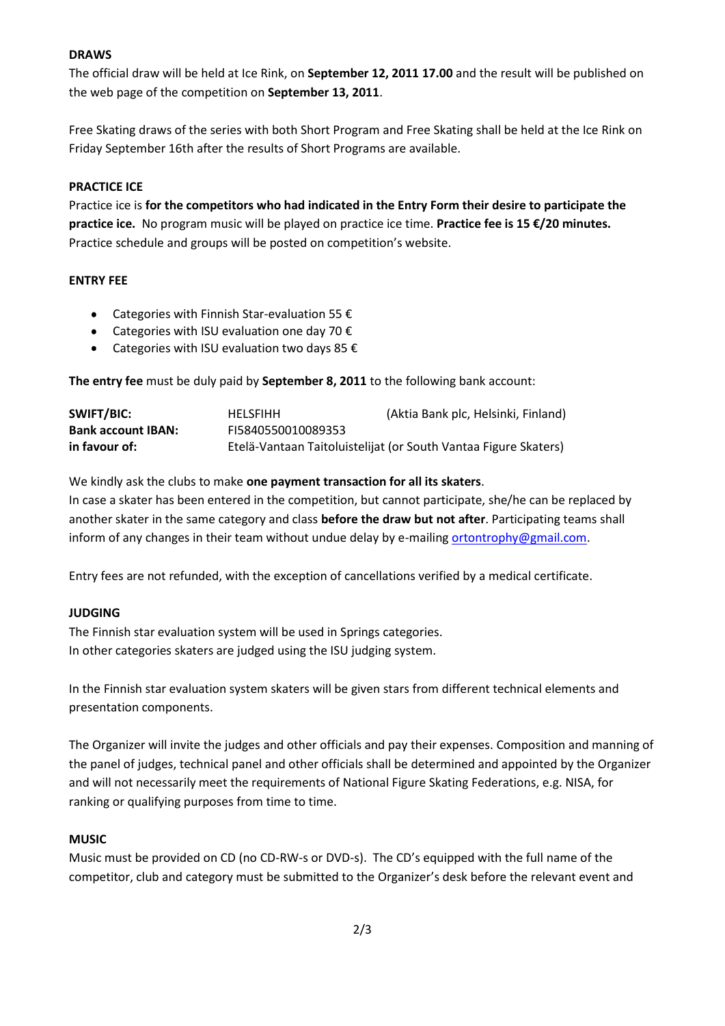## **DRAWS**

.<br>. The official draw will be held at Ice Rink, on **September 12, 2011 17.00** and the result will be published on the web page of the competition on **September 13, 2011**.

Free Skating draws of the series with both Short Program and Free Skating shall be held at the Ice Rink on Friday September 16th after the results of Short Programs are available.

### **PRACTICE ICE**

Practice ice is **for the competitors who had indicated in the Entry Form their desire to participate the practice ice.** No program music will be played on practice ice time. **Practice fee is 15 €/20 minutes.**  Practice schedule and groups will be posted on competition's website.

#### **ENTRY FEE**

- Categories with Finnish Star-evaluation 55  $\epsilon$
- Categories with ISU evaluation one day 70  $\epsilon$
- Categories with ISU evaluation two days 85  $\epsilon$

**The entry fee** must be duly paid by **September 8, 2011** to the following bank account:

| SWIFT/BIC:                | <b>HFLSFIHH</b>    | (Aktia Bank plc, Helsinki, Finland)                             |
|---------------------------|--------------------|-----------------------------------------------------------------|
| <b>Bank account IBAN:</b> | FI5840550010089353 |                                                                 |
| in favour of:             |                    | Etelä-Vantaan Taitoluistelijat (or South Vantaa Figure Skaters) |

We kindly ask the clubs to make **one payment transaction for all its skaters**.

In case a skater has been entered in the competition, but cannot participate, she/he can be replaced by another skater in the same category and class **before the draw but not after**. Participating teams shall inform of any changes in their team without undue delay by e-mailing [ortontrophy@gmail.com.](mailto:ortontrophy@gmail.com)

Entry fees are not refunded, with the exception of cancellations verified by a medical certificate.

## **JUDGING**

The Finnish star evaluation system will be used in Springs categories. In other categories skaters are judged using the ISU judging system.

In the Finnish star evaluation system skaters will be given stars from different technical elements and presentation components.

The Organizer will invite the judges and other officials and pay their expenses. Composition and manning of the panel of judges, technical panel and other officials shall be determined and appointed by the Organizer and will not necessarily meet the requirements of National Figure Skating Federations, e.g. NISA, for ranking or qualifying purposes from time to time.

## **MUSIC**

Music must be provided on CD (no CD-RW-s or DVD-s). The CD's equipped with the full name of the competitor, club and category must be submitted to the Organizer's desk before the relevant event and